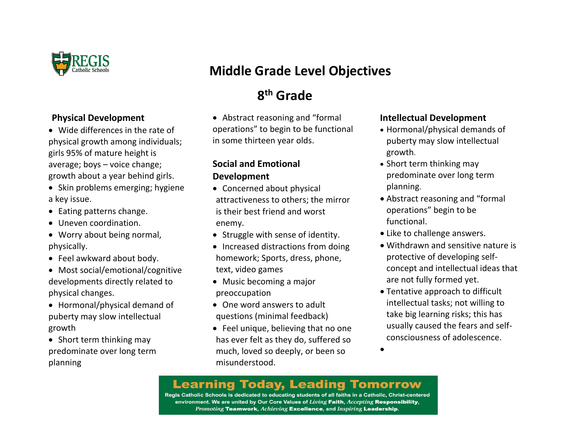

#### **Physical Development**

- Wide differences in the rate of physical growth among individuals; girls 95% of mature height is average; boys – voice change; growth about a year behind girls.
- Skin problems emerging; hygiene a key issue.
- Eating patterns change.
- Uneven coordination.
- Worry about being normal, physically.
- Feel awkward about body.
- Most social/emotional/cognitive developments directly related to physical changes.
- Hormonal/physical demand of puberty may slow intellectual growth
- Short term thinking may predominate over long term planning

# **Middle Grade Level Objectives**

# **8 th Grade**

• Abstract reasoning and "formal operations" to begin to be functional in some thirteen year olds.

#### **Social and Emotional Development**

- Concerned about physical attractiveness to others; the mirror is their best friend and worst enemy.
- Struggle with sense of identity.
- Increased distractions from doing homework; Sports, dress, phone, text, video games
- Music becoming a major preoccupation
- One word answers to adult questions (minimal feedback)
- Feel unique, believing that no one has ever felt as they do, suffered so much, loved so deeply, or been so misunderstood.

#### **Intellectual Development**

- Hormonal/physical demands of puberty may slow intellectual growth.
- Short term thinking may predominate over long term planning.
- Abstract reasoning and "formal operations" begin to be functional.
- Like to challenge answers.
- Withdrawn and sensitive nature is protective of developing selfconcept and intellectual ideas that are not fully formed yet.
- Tentative approach to difficult intellectual tasks; not willing to take big learning risks; this has usually caused the fears and selfconsciousness of adolescence.

 $\bullet$ 

### **Learning Today, Leading Tomorrow**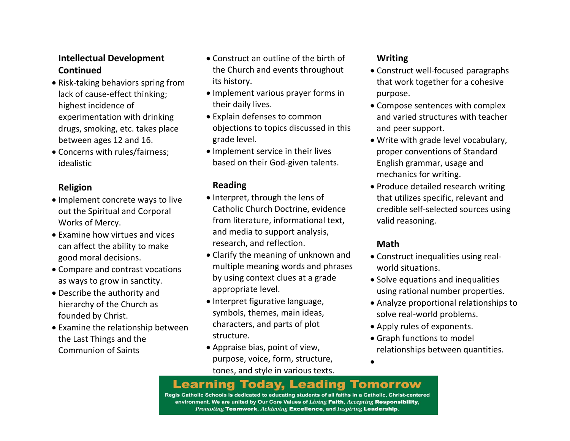#### **Intellectual Development Continued**

- Risk-taking behaviors spring from lack of cause-effect thinking; highest incidence of experimentation with drinking drugs, smoking, etc. takes place between ages 12 and 16.
- Concerns with rules/fairness; idealistic

#### **Religion**

- Implement concrete ways to live out the Spiritual and Corporal Works of Mercy.
- Examine how virtues and vices can affect the ability to make good moral decisions.
- Compare and contrast vocations as ways to grow in sanctity.
- Describe the authority and hierarchy of the Church as founded by Christ.
- Examine the relationship between the Last Things and the Communion of Saints
- Construct an outline of the birth of the Church and events throughout its history.
- Implement various prayer forms in their daily lives.
- Explain defenses to common objections to topics discussed in this grade level.
- Implement service in their lives based on their God-given talents.

#### **Reading**

- Interpret, through the lens of Catholic Church Doctrine, evidence from literature, informational text, and media to support analysis, research, and reflection.
- Clarify the meaning of unknown and multiple meaning words and phrases by using context clues at a grade appropriate level.
- Interpret figurative language, symbols, themes, main ideas, characters, and parts of plot structure.
- Appraise bias, point of view, purpose, voice, form, structure, tones, and style in various texts.

#### **Writing**

- Construct well-focused paragraphs that work together for a cohesive purpose.
- Compose sentences with complex and varied structures with teacher and peer support.
- Write with grade level vocabulary, proper conventions of Standard English grammar, usage and mechanics for writing.
- Produce detailed research writing that utilizes specific, relevant and credible self-selected sources using valid reasoning.

#### **Math**

- Construct inequalities using realworld situations.
- Solve equations and inequalities using rational number properties.
- Analyze proportional relationships to solve real-world problems.
- Apply rules of exponents.
- Graph functions to model relationships between quantities.
- $\bullet$

#### **Learning Today, Leading Tomorrow**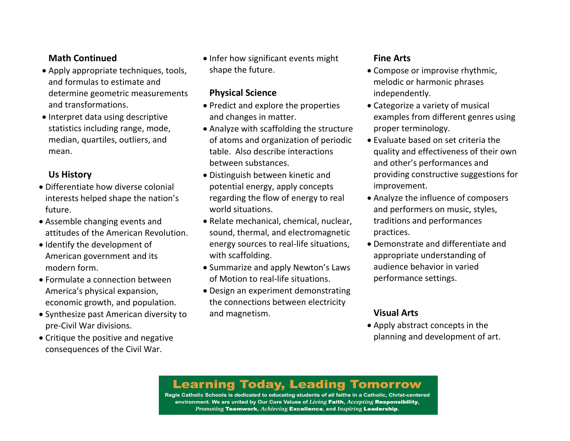#### **Math Continued**

- Apply appropriate techniques, tools, and formulas to estimate and determine geometric measurements and transformations.
- Interpret data using descriptive statistics including range, mode, median, quartiles, outliers, and mean.

#### **Us History**

- Differentiate how diverse colonial interests helped shape the nation's future.
- Assemble changing events and attitudes of the American Revolution.
- Identify the development of American government and its modern form.
- Formulate a connection between America's physical expansion, economic growth, and population.
- Synthesize past American diversity to pre-Civil War divisions.
- Critique the positive and negative consequences of the Civil War.

• Infer how significant events might shape the future.

#### **Physical Science**

- Predict and explore the properties and changes in matter.
- Analyze with scaffolding the structure of atoms and organization of periodic table. Also describe interactions between substances.
- Distinguish between kinetic and potential energy, apply concepts regarding the flow of energy to real world situations.
- Relate mechanical, chemical, nuclear, sound, thermal, and electromagnetic energy sources to real-life situations, with scaffolding.
- Summarize and apply Newton's Laws of Motion to real-life situations.
- Design an experiment demonstrating the connections between electricity and magnetism.

#### **Fine Arts**

- Compose or improvise rhythmic, melodic or harmonic phrases independently.
- Categorize a variety of musical examples from different genres using proper terminology.
- Evaluate based on set criteria the quality and effectiveness of their own and other's performances and providing constructive suggestions for improvement.
- Analyze the influence of composers and performers on music, styles, traditions and performances practices.
- Demonstrate and differentiate and appropriate understanding of audience behavior in varied performance settings.

### **Visual Arts**

 Apply abstract concepts in the planning and development of art.

# **Learning Today, Leading Tomorrow**